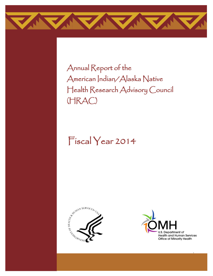

Annual Report of the American Indian/Alaska Native Health Research Advisory Council (HRAC)

# Fiscal Year 2014





i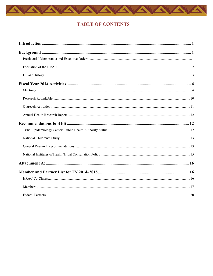

# **TABLE OF CONTENTS**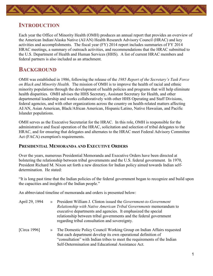<span id="page-2-0"></span>

# **INTRODUCTION**

Each year the Office of Minority Health (OMH) produces an annual report that provides an overview of the American Indian/Alaska Native (AI/AN) Health Research Advisory Council (HRAC) and key activities and accomplishments. The fiscal year (FY) 2014 report includes summaries of FY 2014 HRAC meetings, a summary of outreach activities, and recommendations that the HRAC submitted to the U.S. Department of Health and Human Services (HHS). A list of current HRAC members and federal partners is also included as an attachment.

# <span id="page-2-1"></span>**BACKGROUND**

OMH was established in 1986, following the release of the *1985 Report of the Secretary's Task Force on Black and Minority Health.* The mission of OMH is to improve the health of racial and ethnic minority populations through the development of health policies and programs that will help eliminate health disparities. OMH advises the HHS Secretary, Assistant Secretary for Health, and other departmental leadership and works collaboratively with other HHS Operating and Staff Divisions, federal agencies, and with other organizations across the country on health-related matters affecting AI/AN, Asian American, Black/African American, Hispanic/Latino, Native Hawaiian, and Pacific Islander populations.

OMH serves as the Executive Secretariat for the HRAC. In this role, OMH is responsible for the administrative and fiscal operation of the HRAC, solicitation and selection of tribal delegates to the HRAC, and for ensuring that delegates and alternates to the HRAC meet Federal Advisory Committee Act (FACA) exemption's requirements.

# <span id="page-2-2"></span>**PRESIDENTIAL MEMORANDA AND EXECUTIVE ORDERS**

Over the years, numerous Presidential Memoranda and Executive Orders have been directed at bolstering the relationship between tribal governments and the U.S. federal government. In 1970, President Richard M. Nixon set forth a new direction for Indian policy aimed towards Indian selfdetermination. He stated:

"It is long past time that the Indian policies of the federal government began to recognize and build upon the capacities and insights of the Indian people."

An abbreviated timeline of memoranda and orders is presented below:

| April 29, 1994 | $\rightarrow$ | President William J. Clinton issued the Government-to-Government<br>Relationship with Native American Tribal Governments memorandum to<br>executive departments and agencies. It emphasized the special<br>relationship between tribal governments and the federal government<br>regarding tribal consultation and sovereignty. |
|----------------|---------------|---------------------------------------------------------------------------------------------------------------------------------------------------------------------------------------------------------------------------------------------------------------------------------------------------------------------------------|
| [Circa 1996]   |               | » The Domestic Policy Council Working Group on Indian Affairs requested<br>that each department develop its own operational definition of<br>"consultation" with Indian tribes to meet the requirements of the Indian                                                                                                           |

Self-Determination and Educational Assistance Act.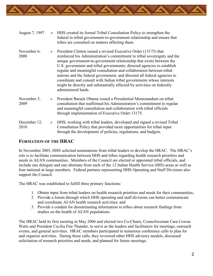

| August 7, 1997       |               | » HHS created its formal Tribal Consultation Policy to strengthen the<br>federal to tribal government-to-government relationship and ensure that<br>tribes are consulted on matters affecting them.                                                                                                                                                                                                                                                                                                                                                                                                                            |
|----------------------|---------------|--------------------------------------------------------------------------------------------------------------------------------------------------------------------------------------------------------------------------------------------------------------------------------------------------------------------------------------------------------------------------------------------------------------------------------------------------------------------------------------------------------------------------------------------------------------------------------------------------------------------------------|
| November 6,<br>2000  |               | » President Clinton issued a revised Executive Order (13175) that<br>reinforced his Administration's commitment to tribal sovereignty and the<br>unique government-to-government relationship that exists between the<br>U.S. government and tribal governments; directed agencies to establish<br>regular and meaningful consultation and collaboration between tribal<br>nations and the federal government; and directed all federal agencies to<br>coordinate and consult with Indian tribal governments whose interests<br>might be directly and substantially affected by activities on federally<br>administered lands. |
| November 5,<br>2009  | $\rightarrow$ | President Barack Obama issued a Presidential Memorandum on tribal<br>consultation that reaffirmed his Administration's commitment to regular<br>and meaningful consultation and collaboration with tribal officials<br>through implementation of Executive Order 13175.                                                                                                                                                                                                                                                                                                                                                        |
| December 12,<br>2010 | $\rightarrow$ | HHS, working with tribal leaders, developed and signed a revised Tribal<br>Consultation Policy that provided more opportunities for tribal input<br>through the development of policies, regulations, and budgets.                                                                                                                                                                                                                                                                                                                                                                                                             |

# <span id="page-3-0"></span>**FORMATION OF THE HRAC**

In November 2005, HHS solicited nominations from tribal leaders to develop the HRAC. The HRAC's role is to facilitate communication between HHS and tribes regarding health research priorities and needs in AI/AN communities. Members of the Council are elected or appointed tribal officials, and include one delegate and one alternate from each of the 12 Indian Health Service (IHS) areas as well as four national at-large members. Federal partners representing HHS Operating and Staff Divisions also support the Council.

The HRAC was established to fulfill three primary functions:

- 1. Obtain input from tribal leaders on health research priorities and needs for their communities;
- 2. Provide a forum through which HHS operating and staff divisions can better communicate and coordinate AI/AN health research activities; and
- 3. Provide a conduit for disseminating information to tribes about research findings from studies on the health of AI/AN populations.

The HRAC held its first meeting in May 2006 and elected two Co-Chairs, Councilwoman Cara Cowan Watts and President Cecilia Fire Thunder, to serve as the leaders and facilitators for meetings, outreach events, and general activities. HRAC members participated in numerous conference calls to plan for and organize activities. During these calls, they reviewed other HHS advisory models, discussed solicitation of research priorities and needs, and planned for future meetings.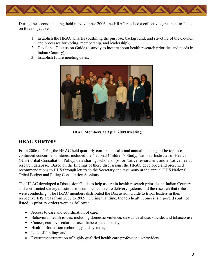

During the second meeting, held in November 2006, the HRAC reached a collective agreement to focus on three objectives:

- 1. Establish the HRAC Charter (outlining the purpose, background, and structure of the Council and processes for voting, membership, and leadership);
- 2. Develop a Discussion Guide (a survey to inquire about health research priorities and needs in Indian Country); and
- <span id="page-4-0"></span>3. Establish future meeting dates.



**HRAC Members at April 2009 Meeting**

# **HRAC'S HISTORY**

From 2006 to 2014, the HRAC held quarterly conference calls and annual meetings. The topics of continued concern and interest included the National Children's Study, National Institutes of Health (NIH) Tribal Consultation Policy, data sharing, scholarships for Native researchers, and a Native health research database. Based on the findings of these discussions, the HRAC developed and presented recommendations to HHS through letters to the Secretary and testimony at the annual HHS National Tribal Budget and Policy Consultation Sessions.

The HRAC developed a Discussion Guide to help ascertain health research priorities in Indian Country and constructed survey questions to examine health care delivery systems and the research that tribes were conducting. The HRAC members distributed the Discussion Guide to tribal leaders in their respective IHS areas from 2007 to 2009. During that time, the top health concerns reported (but not listed in priority order) were as follows:

- Access to care and coordination of care;
- Behavioral health issues, including domestic violence, substance abuse, suicide, and tobacco use;
- Cancer, cardiovascular disease, diabetes, and obesity;
- Health information technology and systems;
- Lack of funding; and
- Recruitment/retention of highly qualified health care professionals/providers.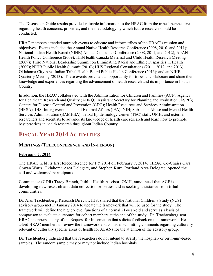The Discussion Guide results provided valuable information to the HRAC from the tribes' perspectives regarding health concerns, priorities, and the methodology by which future research should be conducted.

HRAC members attended outreach events to educate and inform tribes of the HRAC's mission and objectives. Events included the Annual Native Health Research Conference (2008, 2010, and 2011); National Indian Health Board (NIHB) Annual Consumer Conference (2008, 2011, and 2012); AI/AN Health Policy Conference (2009); IHS/Health Canada Maternal and Child Health Research Meeting (2009); Third National Leadership Summit on Eliminating Racial and Ethnic Disparities in Health (2009); NIHB Public Health Summit (2010); HHS Regional Consultations (2011, 2012, and 2013); Oklahoma City Area Indian Tribal Health Board Public Health Conference (2013); and an NIHB Quarterly Meeting (2013). These events provided an opportunity for tribes to collaborate and share their knowledge and experiences regarding the advancement of health research and its importance in Indian Country.

In addition, the HRAC collaborated with the Administration for Children and Families (ACF); Agency for Healthcare Research and Quality (AHRQ); Assistant Secretary for Planning and Evaluation (ASPE); Centers for Disease Control and Prevention (CDC); Health Resources and Services Administration (HRSA); IHS; Intergovernmental and External Affairs (IEA); NIH; Substance Abuse and Mental Health Services Administration (SAMHSA); Tribal Epidemiology Center (TEC) staff; OMH; and external researchers and scientists to advance its knowledge of health care research and learn how to promote best practices in health research throughout Indian Country.

# <span id="page-5-0"></span>**FISCAL YEAR 2014 ACTIVITIES**

# <span id="page-5-1"></span>**MEETINGS (TELECONFERENCE AND IN-PERSON)**

#### **February 7, 2014**

The HRAC held its first teleconference for FY 2014 on February 7, 2014. HRAC Co-Chairs Cara Cowan Watts, Oklahoma Area Delegate, and Stephen Kutz, Portland Area Delegate, opened the call and welcomed participants.

Commander (CDR) Tracy Branch, Public Health Advisor, OMH, announced that ACF is developing new research and data collection priorities and is seeking assistance from tribal communities.

Dr. Alan Trachtenberg, Research Director, IHS, shared that the National Children's Study (NCS) advisory group met in January 2014 to update the framework that will be used for the study. The framework will define the higher-level functions of a normal 21-year-old and serve as a basis of comparison to evaluate outcomes for cohort members at the end of the study. Dr. Trachtenberg sent HRAC members a copy of the Request for Information that solicits feedback on the framework. He asked HRAC members to review the framework and consider submitting comments regarding culturally relevant or culturally specific areas of health for AI/ANs for the attention of the advisory group.

Dr. Trachtenberg indicated that the researchers do not intend to stratify the hospital- or birth-unit-based samples. The random sample may or may not include Indian hospitals.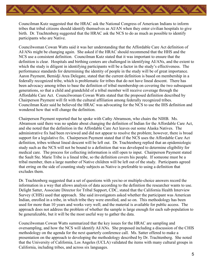Councilman Kutz suggested that the HRAC ask the National Congress of American Indians to inform tribes that tribal citizens should identify themselves as AI/AN when they enter civilian hospitals to give birth. Dr. Trachtenberg suggested that the HRAC ask the NCS to do as much as possible to identify participants who are Native.

Councilwoman Cowan Watts said it was her understanding that the Affordable Care Act definition of AI/ANs might be changing again. She asked if the HRAC should recommend that the HHS and the NCS use a consistent definition. Councilman Kutz stated that it was important to ensure that the definition is clear. Hospitals and birthing centers are challenged in identifying AI/ANs, and the extent to which the study is diligent in identifying participants will be a factor in the study's effectiveness. The performance standards for determining the identity of people in the study will be of great importance. Aaron Payment, Bemidji Area Delegate, stated that the current definition is based on membership in a federally recognized tribe, which is problematic for tribes that do not have lineal descent. There has been advocacy among tribes to base the definition of tribal membership on covering the two subsequent generations, so that a child and grandchild of a tribal member will receive coverage through the Affordable Care Act. Councilwoman Cowan Watts stated that the proposed definition described by Chairperson Payment will fit with the cultural affiliation among federally recognized tribes. Councilman Kutz said he believed the HRAC was advocating for the NCS to use the IHS definition and wondered how that will change the definition.

Chairperson Payment reported that he spoke with Cathy Abramson, who chairs the NIHB. Ms. Abramson said there was no update about changing the definition of Indian for the Affordable Care Act, and she noted that the definition in the Affordable Care Act leaves out some Alaska Natives. The administrative fix had been reviewed and did not appear to resolve the problem; however, there is broad support for a legislative fix. Chairperson Payment stated that if the NCS uses the Affordable Care Act definition, tribes without lineal descent will be left out. Dr. Trachtenberg replied that an epidemiologic study such as the NCS will not be bound to a definition that was developed to determine eligibility for medical care. The process for collecting information is still open to input. Chairperson Payment stated the Sault Ste. Marie Tribe is a lineal tribe, so the definition covers his people. If someone must be a tribal member, then a large number of Native children will be left out of the study. Participants agreed that erring on the side of counting study subjects as Native is preferable to using a definition that excludes them.

Dr. Trachtenberg suggested that a set of questions with yes/no or multiple-choice answers record the information in a way that allows analysis of data according to the definition the researcher wants to use. Delight Satter, Associate Director for Tribal Support, CDC, stated that the California Health Interview Survey (CHIS) used that approach. She said investigators asked whether the participant was American Indian, enrolled in a tribe, in which tribe they were enrolled, and so on. This methodology has been used for more than 10 years and works very well; and the material is available for public access. The approach does not address the problem of whether the sample is large enough for each sub-population to be generalizable, but it will be the most useful way to gather the data.

Councilwoman Cowan Watts summarized that the key issues for the HRAC are sampling and oversampling, and how the NCS will identify AI/ANs. She proposed including a discussion of the CHIS methodology on the agenda for the next quarterly conference call. Ms. Satter offered to make a presentation on the approach to developing the methodology described by Dr. Trachtenberg. She noted that the University of California, Los Angeles (UCLA) validated the items with many cultural groups in California, including tribes, and across six languages.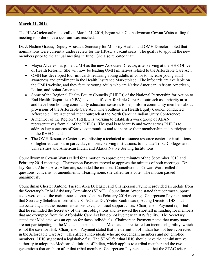

#### **March 21, 2014**

The HRAC teleconference call on March 21, 2014, began with Councilwoman Cowan Watts calling the meeting to order once a quorum was reached.

Dr. J. Nadine Gracia, Deputy Assistant Secretary for Minority Health, and OMH Director, noted that nominations were currently under review for the HRAC's vacant seats. The goal is to appoint the new members prior to the annual meeting in June. She also reported that:

- Mayra Alvarez has joined OMH as the new Associate Director, after serving at the HHS Office of Health Reform. She will now be leading OMH initiatives related to the Affordable Care Act;
- OMH has developed four infocards featuring young adults of color to increase young adult awareness and enrollment in the Health Insurance Marketplace. The infocards are available on the OMH website, and they feature young adults who are Native American, African American, Latino, and Asian American;
- Some of the Regional Health Equity Councils (RHECs) of the National Partnership for Action to End Health Disparities (NPA) have identified Affordable Care Act outreach as a priority area and have been holding community education sessions to help inform community members about provisions of the Affordable Care Act. The Southeastern Health Equity Council conducted Affordable Care Act enrollment outreach at the North Carolina Indian Unity Conference;
- A member of the Region VI RHEC is working to establish a work group of AI/AN representatives from all of the RHECs. The goal is to identify and work across RHECs to address key concerns of Native communities and to increase their membership and participation in the RHECs; and
- The OMH Resource Center is establishing a technical assistance resource center for institutions of higher education, in particular, minority-serving institutions, to include Tribal Colleges and Universities and American Indian and Alaska Native Serving Institutions.

Councilwoman Cowan Watts called for a motion to approve the minutes of the September 2013 and February 2014 meetings. Chairperson Payment moved to approve the minutes of both meetings. Dr. Jay Butler, Alaska Area Alternate, seconded the motion. Councilwoman Cowan Watts called for questions, concerns, or amendments. Hearing none, she called for a vote. The motion passed unanimously.

Councilman Chester Antone, Tucson Area Delegate, and Chairperson Payment provided an update from the Secretary's Tribal Advisory Committee (STAC). Councilman Antone stated that contract support costs were one of the main issues discussed at the February 2014 meeting. Chairperson Payment noted that Secretary Sebelius informed the STAC that Dr. Yvette Roubideaux, Acting Director, IHS, had advocated against the recommendations to cap contract support costs. Chairperson Payment reported that he reminded the Secretary of the trust obligations and reviewed the shortfall in funding for members that are exempted from the Affordable Care Act but do not live near an IHS facility. The Secretary stated that Medicaid was an option for those individuals. Chairperson Payment noted that many states are not participating in the Medicaid expansion, and Medicaid is predicated on income eligibility, which is not the case for IHS. Chairperson Payment stated that the definition of Indian has not been corrected in the Affordable Care Act. This affects individuals who are descendant members and not enrolled members. HHS suggested a legislative fix. The STAC felt that HHS should have the administrative authority to adopt the Medicare definition of Indian, which applies to a tribal member and the two generations that are born after that tribal member. Chairperson Payment stated that the STAC reiterated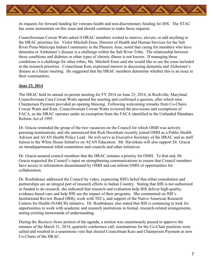

its requests for forward funding for veterans health and non-discretionary funding for IHS. The STAC has some momentum on this issue and should continue to make those requests.

Councilwoman Cowan Watts asked if HRAC members wished to remove, elevate, or add anything to the HRAC priorities list. Violet Mitchell-Enos, Director of Health and Human Services for the Salt River Pima-Maricopa Indian Community in the Phoenix Area, noted that caring for members who have dementia or Alzheimer's disease is a challenge within the Salt River Tribe. The relationship between those conditions and diabetes or other types of chronic illness is not known. If managing these conditions is a challenge for other tribes, Ms. Mitchell-Enos said she would like to see the issue included in the research priorities. Councilman Kutz expressed interest in discussing dementia and Alzheimer's disease at a future meeting. He suggested that the HRAC members determine whether this is an issue in their communities.

#### **June 23, 2014**

The HRAC held its annual in-person meeting for FY 2014 on June 23, 2014, in Rockville, Maryland. Councilwoman Cara Cowan Watts opened the meeting and confirmed a quorum, after which time Chairperson Payment provided an opening blessing. Following welcoming remarks from Co-Chairs Cowan Watts and Kutz, Councilwoman Cowan Watts reviewed the provisions and exemptions of FACA, as the HRAC operates under an exemption from the FACA identified in the Unfunded Mandates Reform Act of 1995.

Dr. Gracia reminded the group of the two vacancies on the Council for which OMH was actively pursuing nominations; and she announced that Rick Haverkate recently joined OMH as a Public Health Advisor and AI/AN Health Policy Lead. He will serve as Executive Secretary of the HRAC and as staff liaison to the White House Initiative on AI/AN Education. Mr. Haverkate will also support Dr. Gracia on intradepartmental tribal committees and councils and other initiatives.

Dr. Gracia assured council members that the HRAC remains a priority for OMH. To that end, Dr. Gracia requested the Council's input on strengthening communications to ensure that Council members have access to information disseminated by OMH and can inform OMH of opportunities for collaboration.

Dr. Roubideaux addressed the Council by video, expressing IHS's belief that tribal consultation and partnerships are an integral part of research efforts in Indian Country. Stating that IHS is not authorized or funded to do research, she indicated that research and evaluation help IHS deliver high-quality, evidence-based care and help IHS see the impact of their programs. She commented on IHS's Institutional Review Board (IRB), work with TECs, and support of the Native American Research Centers for Health (NARCH) initiative. Dr. Roubideaux also stated that IHS is continuing to look for opportunities to work with academic and research institutions in formal, research-related arrangements, noting existing memoranda of understanding.

During the *Business Items* portion of the agenda, a motion was unanimously passed to approve the minutes of the March 31, 2014, quarterly conference call; nominations for the Co-Chair positions were called and resulted in a unanimous vote that elected Councilman Kutz and Chairperson Payment as new Co-Chairs of the HRAC.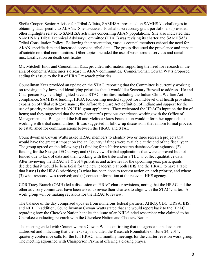

Sheila Cooper, Senior Advisor for Tribal Affairs, SAMHSA, presented on SAMHSA's challenges in obtaining data specific to AI/ANs. She discussed its tribal discretionary grant portfolio and provided other highlights related to SAMHSA activities concerning AI/AN populations. She also indicated that SAMHSA's Tribal Technical Advisory Committee (TTAC) was revising its charter and SAMHSA's Tribal Consultation Policy. Following the presentation, various council members echoed the need for AI/AN-specific data and increased access to tribal data. The group discussed the prevalence and impact of suicide on tribal communities. Other topics included the use of wrap-around services and racial misclassification on death certificates.

Ms. Mitchell-Enos and Councilman Kutz provided information supporting the need for research in the area of dementia/Alzheimer's disease in AI/AN communities. Councilwoman Cowan Watts proposed adding this issue to the list of HRAC research priorities.

Councilman Kutz provided an update on the STAC, reporting that the Committee is currently working on revising its by-laws and identifying priorities that it would like Secretary Burwell to address. He and Chairperson Payment highlighted several STAC priorities, including the Indian Child Welfare Act compliance; SAMHSA funding; HRSA (concerning needed support for mid-level oral health providers); expansion of tribal self-governance; the Affordable Care Act definition of Indian; and support for the use of priority points for AI/AN HHS grant applicants. They welcomed the HRAC's input on the list of items; and they suggested that the new Secretary's previous experience working with the Office of Management and Budget and the Bill and Melinda Gates Foundation would inform her approach to working with tribal communities. It was suggested in follow-up discussions that a more formal process be established for communications between the HRAC and STAC.

Councilwoman Cowan Watts asked HRAC members to identify two or three research projects that would have the greatest impact on Indian Country if funds were available at the end of the fiscal year. The group agreed on the following: (1) funding for a Native research database/clearinghouse; (2) funding for the Navajo TEC survey; and (3) review of tribal applications that were approved but not funded due to lack of data and then working with the tribe and/or a TEC to collect qualitative data. After reviewing the HRAC's FY 2014 priorities and activities for the upcoming year, participants decided that it would be beneficial for the new leadership at both HHS and the HRAC to have a table that lists: (1) the HRAC priorities; (2) what has been done to request action on each priority, and when; (3) what response was received; and (4) contact information at the relevant HHS agency.

CDR Tracy Branch (OMH) led a discussion on HRAC charter revisions, noting that the HRAC and the other advisory committees have been asked to revise their charters to align with the STAC charter. A work group will be making revisions for the HRAC to review.

The balance of the day comprised updates from numerous federal partners: AHRQ, CDC, HRSA, IHS, and NIH. In addition, Councilwoman Cowan Watts stated that she would report back to the HRAC regarding how the Cherokee Nation handles the issue of an NIH-funded researcher who claimed to be Cherokee conducting research with the Cherokee Nation and Choctaw Nation.

The meeting ended with Councilwoman Cowan Watts confirming that the agenda items had been addressed and indicating that the next steps included the Research Roundtable on June 24, 2014; quarterly conference calls for the full HRAC; and monthly meetings for the charter revision work group. The meeting adjourned with Chairperson Payment offering a closing prayer.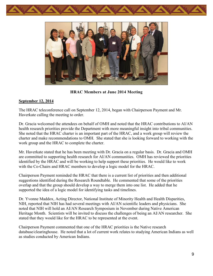



**HRAC Members at June 2014 Meeting**

#### **September 12, 2014**

The HRAC teleconference call on September 12, 2014, began with Chairperson Payment and Mr. Haverkate calling the meeting to order.

Dr. Gracia welcomed the attendees on behalf of OMH and noted that the HRAC contributions to AI/AN health research priorities provide the Department with more meaningful insight into tribal communities. She noted that the HRAC charter is an important part of the HRAC, and a work group will review the charter and make recommendations to OMH. She stated that she is looking forward to working with the work group and the HRAC to complete the charter.

Mr. Haverkate stated that he has been meeting with Dr. Gracia on a regular basis. Dr. Gracia and OMH are committed to supporting health research for AI/AN communities. OMH has reviewed the priorities identified by the HRAC and will be working to help support these priorities. He would like to work with the Co-Chairs and HRAC members to develop a logic model for the HRAC.

Chairperson Payment reminded the HRAC that there is a current list of priorities and then additional suggestions identified during the Research Roundtable. He commented that some of the priorities overlap and that the group should develop a way to merge them into one list. He added that he supported the idea of a logic model for identifying tasks and timelines.

Dr. Yvonne Maddox, Acting Director, National Institute of Minority Health and Health Disparities, NIH, reported that NIH has had several meetings with AI/AN scientific leaders and physicians. She noted that NIH will hold an AI/AN Research Symposium in November during Native American Heritage Month. Scientists will be invited to discuss the challenges of being an AI/AN researcher. She stated that they would like for the HRAC to be represented at the event.

Chairperson Payment commented that one of the HRAC priorities is the Native research database/clearinghouse. He noted that a lot of current work relates to studying American Indians as well as studies conducted by American Indians.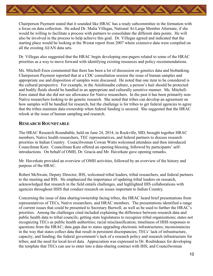

Chairperson Payment stated that it sounded like HRAC has a ready subcommittee in the formation with a focus on data collection. He asked Dr. Malia Villegas, National At-Large Member Alternate, if she would be willing to facilitate a process with partners to consolidate the different data points. He will also be involved in the process to help achieve this goal. Dr. Villegas agreed and indicated that the starting place would be looking at the Westat report from 2007 where extensive data were compiled on all the existing AI/AN data sets.

Dr. Villegas also suggested that the HRAC begin developing one-pagers related to some of the HRAC priorities as a way to move forward with identifying existing resources and policy recommendations.

Ms. Mitchell-Enos commented that there has been a lot of discussion on genetics data and biobanking. Chairperson Payment reported that at a CDC consultation session the issue of human samples and appropriate use and disposition of samples were discussed. He noted that one item to be considered is the cultural perspective. For example, in the Anishinaabe culture, a person's hair should be protected and bodily fluids should be handled in an appropriate and culturally sensitive manner. Ms. Mitchell-Enos stated that she did not see allowance for Native researchers. In the past it has been primarily non-Native researchers looking to do genetic research. She noted that tribes can develop an agreement on how samples will be handled for research, but the challenge is for tribes to get federal agencies to agree that the tribes maintain data ownership when federal funding is secured. She suggested that the HRAC relook at the issue of human sampling and research.

# <span id="page-11-0"></span>**RESEARCH ROUNDTABLE**

The HRAC Research Roundtable, held on June 24, 2014, in Rockville, MD, brought together HRAC members, Native health researchers, TEC representatives, and federal partners to discuss research priorities in Indian Country. Councilwoman Cowan Watts welcomed attendees and then introduced Councilman Kutz. Councilman Kutz offered an opening blessing, followed by participants' selfintroductions. On behalf of OMH, Dr. Gracia and Mr. Haverkate gave opening remarks.

Mr. Haverkate provided an overview of OMH activities, followed by an overview of the history and purpose of the HRAC.

Robert McSwain, Deputy Director, IHS, welcomed tribal leaders, tribal researchers, and federal partners to the meeting and IHS. He emphasized the importance of updating tribal leaders on research, acknowledged that research in the field entails challenges, and highlighted IHS collaborations with agencies throughout HHS that conduct research on issues important to Indian Country.

Concerning the issue of data sharing/ownership facing tribes, the HRAC heard brief presentations from representatives of TECs, Native researchers, and HRAC members. The presentations identified a range of current issues that could be presented to Secretary Burwell, as well as be used to further the HRAC's priorities. Among the challenges cited included explaining the difference between research data and public health data to tribal councils; getting state legislatures to recognize tribal organizations; states not recognizing TECs as public health authorities; racial misclassification; timeliness of HHS responses to questions from the HRAC; data gaps due to states upgrading electronic infrastructures; inconsistencies in the way that states collect data that result in persistent discrepancies; TECs' lack of infrastructure, capacity, and funding; the federal government's lack of a research policy and research infrastructure for tribes; and the need for local-level data. Appreciation was expressed to Dr. Roubideaux for developing the template that TECs can use to enter into a data-sharing contract with IHS; and Councilwoman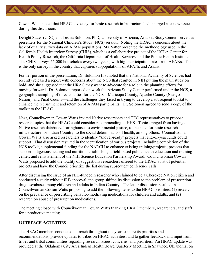Cowan Watts noted that HRAC advocacy for basic research infrastructure had emerged as a new issue during this discussion.

Delight Satter (CDC) and Teshia Solomon, PhD, University of Arizona, Arizona Study Center, served as presenters for the National Children's Study (NCS) session. Noting the HRAC's concerns about the lack of quality survey data on AI/AN populations, Ms. Satter presented the methodology used in the California Health Interview Survey (CHIS), which is a collaborative project of the UCLA Center for Health Policy Research, the California Department of Health Services, and the Public Health Institute. The CHIS surveys 55,000 households every two years, with high participation rates from AI/ANs. This is the only survey in the country that captures subpopulations of AI/ANs and Asians.

For her portion of the presentation, Dr. Solomon first noted that the National Academy of Sciences had recently released a report with concerns about the NCS that resulted in NIH putting the main study on hold, and she suggested that the HRAC may want to advocate for a role in the planning efforts for moving forward. Dr. Solomon reported on work the Arizona Study Center performed under the NCS, a geographic sampling of three counties for the NCS—Maricopa County, Apache County (Navajo Nation), and Pinal County—and the challenges they faced in trying to develop a subsequent toolkit to enhance the recruitment and retention of AI/AN participants. Dr. Solomon agreed to send a copy of the toolkit to the HRAC.

Next, Councilwoman Cowan Watts invited Native researchers and TEC representatives to propose research topics that the HRAC could consider recommending to HHS. Topics ranged from having a Native research database/clearinghouse, to environmental justice, to the need for basic research infrastructure for Indian Country, to the social determinants of health, among others. Councilwoman Cowan Watts also asked researchers to identify "shovel-ready" projects that end-of-year funds could support. That discussion resulted in the identification of various projects, including completion of the NCS toolkit, supplemental funding for the NARCH to enhance existing training/projects; projects that support indigenous healing and nutrition; establishing a field-based public health education and training center; and reinstatement of the NIH Science Education Partnership Award. Councilwoman Cowan Watts proposed to add the totality of suggestions researchers offered to the HRAC's list of potential projects and have the Council prioritize the list during subsequent conference calls.

After discussing the issue of an NIH-funded researcher who claimed to be a Cherokee Nation citizen and conducted a study without IRB approval, the group shifted its discussion to the problem of prescription drug use/abuse among children and adults in Indian Country. The latter discussion resulted in Councilwoman Cowan Watts proposing to add the following items to the HRAC priorities: (1) research on the prevalence of prescribing behavior-modifying medications for children and adults; and (2) research on abuse of prescription medications.

The meeting closed with Councilwoman Cowan Watts thanking HRAC members, researchers, and staff for a productive meeting.

#### <span id="page-12-0"></span>**OUTREACH ACTIVITIES**

The HRAC members conducted outreach throughout the year to share its priorities and recommendations, provide updates to tribes on HRAC activities, and to gather feedback and input from tribes and tribal communities regarding research issues, concerns, and priorities. An HRAC update was provided at the Oklahoma City Area Indian Health Board Quarterly Meeting in Shawnee, Oklahoma, on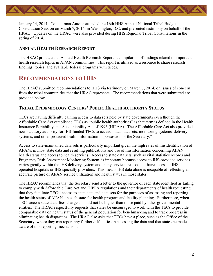

January 14, 2014. Councilman Antone attended the 16th HHS Annual National Tribal Budget Consultation Session on March 7, 2014, in Washington, D.C. and presented testimony on behalf of the HRAC. Updates on the HRAC were also provided during HHS Regional Tribal Consultations in the spring of 2014.

#### <span id="page-13-0"></span>**ANNUAL HEALTH RESEARCH REPORT**

The HRAC produced its Annual Health Research Report, a compilation of findings related to important health research topics in AI/AN communities. This report is utilized as a resource to share research findings, topics, and available federal programs with tribes.

# <span id="page-13-1"></span>**RECOMMENDATIONS TO HHS**

The HRAC submitted recommendations to HHS via testimony on March 7, 2014, on issues of concern from the tribal communities that the HRAC represents. The recommendations that were submitted are provided below.

# <span id="page-13-2"></span>**TRIBAL EPIDEMIOLOGY CENTERS' PUBLIC HEALTH AUTHORITY STATUS**

TECs are having difficulty gaining access to data sets held by state governments even though the Affordable Care Act established TECs as "public health authorities" as that term is defined in the Health Insurance Portability and Accountability Act of 1996 (HIPAA). The Affordable Care Act also provided new statutory authority for IHS-funded TECs to access "data, data sets, monitoring systems, delivery systems, and other protected health information in possession of the Secretary."

Access to state-maintained data sets is particularly important given the high rates of misidentification of AI/ANs in most state data and resulting publications and use of misinformation concerning AI/AN health status and access to health services. Access to state data sets, such as vital statistics records and Pregnancy Risk Assessment Monitoring System, is important because access to IHS-provided services varies greatly within the IHS delivery system and many service areas do not have access to IHSoperated hospitals or IHS specialty providers. This means IHS data alone is incapable of reflecting an accurate picture of AI/AN service utilization and health status in those states.

The HRAC recommends that the Secretary send a letter to the governor of each state identified as failing to comply with Affordable Care Act and HIPPA regulations and their departments of health requesting that they facilitate TECs' access to state data and data sets for the purposes of assessing and reporting the health status of AI/ANs in each state for health program and facility planning. Furthermore, when TECs access state data, fees charged should not be higher than those paid by other governmental entities. The HRAC respectfully requests that states be encouraged to work with the TECs to provide comparable data on health status of the general population for benchmarking and to track progress in eliminating health disparities. The HRAC also asks that TECs have a place, such as the Office of the Secretary, where they can report any further difficulties in accessing the data and that states be made aware of this reporting mechanism.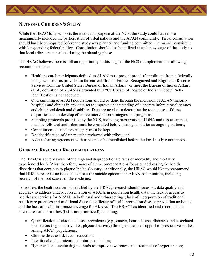<span id="page-14-0"></span>

#### **NATIONAL CHILDREN'S STUDY**

While the HRAC fully supports the intent and purpose of the NCS, the study could have more meaningfully included the participation of tribal nations and the AI/AN community. Tribal consultation should have been required before the study was planned and funding committed in a manner consistent with longstanding federal policy. Consultation should also be utilized at each new stage of the study so that local tribes are consulted during the planning phase.

The HRAC believes there is still an opportunity at this stage of the NCS to implement the following recommendations:

- Health research participants defined as AI/AN must present proof of enrollment from a federally recognized tribe as provided in the current "Indian Entities Recognized and Eligible to Receive Services from the United States Bureau of Indian Affairs" or meet the Bureau of Indian Affairs (BIA) definition of AI/AN as provided by a "Certificate of Degree of Indian Blood." Selfidentification is not adequate;
- Oversampling of AI/AN populations should be done through the inclusion of AI/AN majority hospitals and clinics in any data set to improve understanding of disparate infant mortality rates and childhood death and disability. Data are needed to determine the root causes of these disparities and to develop effective intervention strategies and programs;
- Sampling protocols promised by the NCS, including preservation of DNA and tissue samples, must be followed and tribes must be consulted before, during, and after as ongoing partners;
- Commitment to tribal sovereignty must be kept;
- De-identification of data must be reviewed with tribes; and
- A data-sharing agreement with tribes must be established before the local study commences.

#### <span id="page-14-1"></span>**GENERAL RESEARCH RECOMMENDATIONS**

The HRAC is acutely aware of the high and disproportionate rates of morbidity and mortality experienced by AI/ANs; therefore, many of the recommendations focus on addressing the health disparities that continue to plague Indian Country. Additionally, the HRAC would like to recommend that HHS increase its activities to address the suicide epidemic in AI/AN communities, including research of the root causes of the epidemic.

To address the health concerns identified by the HRAC, research should focus on: data quality and accuracy to address under-representation of AI/ANs in population health data; the lack of access to health care services for AI/ANs in both rural and urban settings; lack of incorporation of traditional health care practices and traditional diets; the efficacy of health promotion/disease prevention activities; and the lack of health insurance coverage for AI/ANs. The HRAC has identified and recommends several research priorities (list is not prioritized), including:

- Quantification of chronic disease prevalence (e.g., cancer, heart disease, diabetes) and associated risk factors (e.g., obesity, diet, physical activity) through sustained support of prospective studies among AI/AN populations;
- Chronic disease risk factor reduction;
- Intentional and unintentional injuries reduction;
- Hypertension evaluating methods to improve awareness and treatment of hypertension;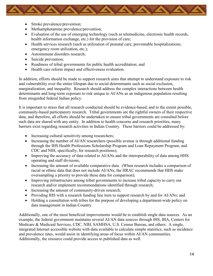- Stroke prevalence/prevention;
- Methamphetamine prevalence/prevention;
- Evaluation of the use of emerging technology (such as telemedicine, electronic health records, health information exchange, etc.) for the provision of care;
- Health services research (such as utilization of prenatal care; preventable hospitalizations; emergency room utilization, etc.);
- Autoimmune disorders research:
- Suicide prevention;
- Readiness of tribal governments for public health accreditation; and
- Health care reform impact and effectiveness evaluation.

In addition, efforts should be made to support research aims that attempt to understand exposure to risk and vulnerability over the entire lifespan due to social determinants such as social exclusion, marginalization, and inequality. Research should address the complex interactions between health determinants and long-term exposure to risk unique to AI/ANs as an indigenous population resulting from misguided federal Indian policy.

It is important to stress that all research conducted should be evidence-based, and to the extent possible, community-based participatory research. Tribal governments are the rightful owners of their respective data, and therefore, all efforts should be undertaken to ensure tribal governments are consulted before such data are shared with any entity. In addition to health concerns and research priorities, many barriers exist regarding research activities in Indian Country. These barriers could be addressed by:

- Increasing cultural sensitivity among researchers;
- Increasing the number of AI/AN researchers (possible avenue is through additional funding through the IHS Health Professions Scholarship Program and Loan Repayment Program, and CDC and NIH, specifically, for research positions);
- Improving the accuracy of data related to AI/ANs and the interoperability of data among HHS operating and staff divisions;
- Increasing the amount of available comparative data. (When research includes a comparison of racial or ethnic data that does not include AI/ANs, the HRAC recommends that HHS make oversampling a priority to provide these data for comparison);
- Improving infrastructure among tribal governments to increase tribal capacity to carry out research and/or implement recommendations identified through research;
- Increasing the amount of community-driven research;
- Providing IHS with a research funding line item to support research by and for AI/ANs; and
- Holding a consultation with tribes for the purpose of developing a department-wide policy on data management in Indian Country.

Additionally, one of the most beneficial improvements would be to establish single data sources. As an example, the federal government maintains several AI/AN data sources through IHS, BIA, Centers for Medicare & Medicaid Services, CDC, NIH, SAMHSA, U.S. Census Bureau, and others. A single, integrated Internet accessible website with data available to calculate simple statistics, such as incidence and prevalence rates, would assist in identifying areas of focus within AI/AN communities. Additionally, the resource could provide access to published data as well.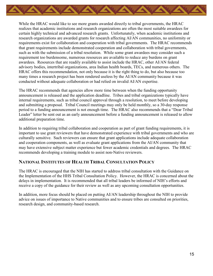

While the HRAC would like to see more grants awarded directly to tribal governments, the HRAC realizes that academic institutions and research organizations are often the most suitable awardees for certain highly technical and advanced research grants. Unfortunately, when academic institutions and research organizations are awarded grants for research affecting AI/AN communities, no uniformity or requirements exist for collaboration and cooperation with tribal governments. The HRAC recommends that grant requirements include demonstrated cooperation and collaboration with tribal governments, such as with the submission of a tribal resolution. While some grant awardees may consider such a requirement too burdensome, numerous resources are available to reduce any burdens on grant awardees. Resources that are readily available to assist include the HRAC, other AI/AN federal advisory bodies, intertribal organizations, area Indian health boards, TECs, and numerous others. The HRAC offers this recommendation, not only because it is the right thing to do, but also because too many times a research project has been rendered useless by the AI/AN community because it was conducted without adequate collaboration or had relied on invalid AI/AN expertise.

The HRAC recommends that agencies allow more time between when the funding opportunity announcement is released and the application deadline. Tribes and tribal organizations typically have internal requirements, such as tribal council approval through a resolution, to meet before developing and submitting a proposal. Tribal Council meetings may only be held monthly, so a 30-day response period to a funding announcement is not enough time. The HRAC also recommends that a "Dear Tribal Leader" letter be sent out as an early announcement before a funding announcement is released to allow additional preparation time.

In addition to requiring tribal collaboration and cooperation as part of grant funding requirements, it is important to use grant reviewers that have demonstrated experience with tribal governments and who are culturally sensitive. Such reviewers can ensure that grant applications include adequate collaboration and cooperation components, as well as evaluate grant applications from the AI/AN community that may have extensive subject matter experience but fewer academic credentials and degrees. The HRAC recommends developing a training module to assist non-Native reviewers.

#### <span id="page-16-0"></span>**NATIONAL INSTITUTES OF HEALTH TRIBAL CONSULTATION POLICY**

The HRAC is encouraged that the NIH has started to address tribal consultation with the Guidance on the Implementation of the HHS Tribal Consultation Policy. However, the HRAC is concerned about the delays in implementation. It is recommended that all tribal leaders be informed of NIH's efforts and receive a copy of the guidance for their review as well as any upcoming consultation opportunities.

<span id="page-16-1"></span>In addition, more focus should be placed on putting AI/AN leadership throughout the NIH to provide advice on issues of importance to Native communities and to ensure tribes are consulted on priorities, research design, and community-based research.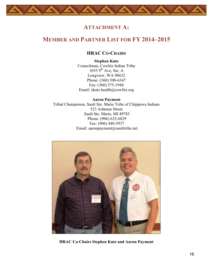# **ATTACHMENT A:**

# <span id="page-17-1"></span><span id="page-17-0"></span>**MEMBER AND PARTNER LIST FOR FY 2014–2015**

# **HRAC CO-CHAIRS**

**Stephen Kutz** Councilman, Cowlitz Indian Tribe  $1055$  9<sup>th</sup> Ave, Ste. A Longview, WA 98632 Phone: (360) 508-6347 Fax: (360) 575-1948 Email: [skutz.health@cowlitz.org](mailto:skutz.health@cowlitz.org)

**Aaron Payment**  Tribal Chairperson, Sault Ste. Marie Tribe of Chippewa Indians 523 Ashmun Street Sault Ste. Marie, MI 49783 Phone: (906) 632-6829 Fax: (906) 440-5937 Email: [aaronpayment@saulttribe.net](mailto:aaronpayment@saulttribe.net)



**HRAC Co-Chairs Stephen Kutz and Aaron Payment**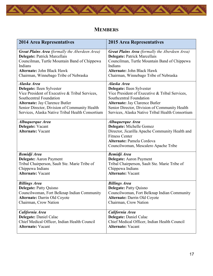

# **MEMBERS**

<span id="page-18-0"></span>

| <b>2014 Area Representatives</b>                                 | <b>2015 Area Representatives</b>                                                                                                                                                              |
|------------------------------------------------------------------|-----------------------------------------------------------------------------------------------------------------------------------------------------------------------------------------------|
| Great Plains Area (formally the Aberdeen Area)                   | <b>Great Plains Area</b> (formally the Aberdeen Area)                                                                                                                                         |
| <b>Delegate: Patrick Marcellais</b>                              | <b>Delegate: Patrick Marcellais</b>                                                                                                                                                           |
| Councilman, Turtle Mountain Band of Chippewa                     | Councilman, Turtle Mountain Band of Chippewa                                                                                                                                                  |
| Indians                                                          | Indians                                                                                                                                                                                       |
| <b>Alternate: John Black Hawk</b>                                | <b>Alternate: John Black Hawk</b>                                                                                                                                                             |
| Chairman, Winnebago Tribe of Nebraska                            | Chairman, Winnebago Tribe of Nebraska                                                                                                                                                         |
| Alaska Area                                                      | Alaska Area                                                                                                                                                                                   |
| Delegate: Ileen Sylvester                                        | Delegate: Ileen Sylvester                                                                                                                                                                     |
| Vice President of Executive & Tribal Services,                   | Vice President of Executive & Tribal Services,                                                                                                                                                |
| Southcentral Foundation                                          | Southcentral Foundation                                                                                                                                                                       |
| <b>Alternate: Jay Clarence Butler</b>                            | <b>Alternate: Jay Clarence Butler</b>                                                                                                                                                         |
| Senior Director, Division of Community Health                    | Senior Director, Division of Community Health                                                                                                                                                 |
| Services, Alaska Native Tribal Health Consortium                 | Services, Alaska Native Tribal Health Consortium                                                                                                                                              |
| Albuquerque Area<br>Delegate: Vacant<br><b>Alternate: Vacant</b> | Albuquerque Area<br>Delegate: Michelle Gomez<br>Director, Jicarilla Apache Community Health and<br><b>Fitness Center</b><br>Alternate: Pamela Cordova<br>Councilwoman, Mescalero Apache Tribe |
| <b>Bemidji Area</b>                                              | <b>Bemidji Area</b>                                                                                                                                                                           |
| <b>Delegate:</b> Aaron Payment                                   | <b>Delegate:</b> Aaron Payment                                                                                                                                                                |
| Tribal Chairperson, Sault Ste. Marie Tribe of                    | Tribal Chairperson, Sault Ste. Marie Tribe of                                                                                                                                                 |
| Chippewa Indians                                                 | Chippewa Indians                                                                                                                                                                              |
| <b>Alternate: Vacant</b>                                         | <b>Alternate: Vacant</b>                                                                                                                                                                      |
| <b>Billings Area</b>                                             | <b>Billings Area</b>                                                                                                                                                                          |
| <b>Delegate: Patty Quisno</b>                                    | <b>Delegate: Patty Quisno</b>                                                                                                                                                                 |
| Councilwoman, Fort Belknap Indian Community                      | Councilwoman, Fort Belknap Indian Community                                                                                                                                                   |
| <b>Alternate: Darrin Old Coyote</b>                              | <b>Alternate: Darrin Old Coyote</b>                                                                                                                                                           |
| Chairman, Crow Nation                                            | Chairman, Crow Nation                                                                                                                                                                         |
| California Area                                                  | California Area                                                                                                                                                                               |
| Delegate: Daniel Calac                                           | Delegate: Daniel Calac                                                                                                                                                                        |
| Chief Medical Officer, Indian Health Council                     | Chief Medical Officer, Indian Health Council                                                                                                                                                  |
| <b>Alternate: Vacant</b>                                         | <b>Alternate: Vacant</b>                                                                                                                                                                      |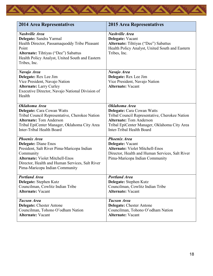

| <b>2014 Area Representatives</b>                                                                                                                                                                                                             | <b>2015 Area Representatives</b>                                                                                                                                                                             |
|----------------------------------------------------------------------------------------------------------------------------------------------------------------------------------------------------------------------------------------------|--------------------------------------------------------------------------------------------------------------------------------------------------------------------------------------------------------------|
| <b>Nashville Area</b><br>Delegate: Sandra Yarmal<br>Health Director, Passamaquoddy Tribe Pleasant<br>Point<br><b>Alternate:</b> Tihtiyas ("Dee") Sabattus<br>Health Policy Analyst, United South and Eastern<br>Tribes, Inc.                 | <b>Nashville Area</b><br>Delegate: Vacant<br>Alternate: Tihtiyas ("Dee") Sabattus<br>Health Policy Analyst, United South and Eastern<br>Tribes, Inc.                                                         |
| Navajo Area<br>Delegate: Rex Lee Jim<br>Vice President, Navajo Nation<br><b>Alternate: Larry Curley</b><br>Executive Director, Navajo National Division of<br>Health                                                                         | Navajo Area<br>Delegate: Rex Lee Jim<br>Vice President, Navajo Nation<br><b>Alternate: Vacant</b>                                                                                                            |
| Oklahoma Area<br>Delegate: Cara Cowan Watts<br>Tribal Council Representative, Cherokee Nation<br><b>Alternate: Tom Anderson</b><br>Tribal EpiCenter Manager, Oklahoma City Area<br>Inter-Tribal Health Board                                 | Oklahoma Area<br>Delegate: Cara Cowan Watts<br>Tribal Council Representative, Cherokee Nation<br><b>Alternate: Tom Anderson</b><br>Tribal EpiCenter Manager, Oklahoma City Area<br>Inter-Tribal Health Board |
| <b>Phoenix Area</b><br><b>Delegate: Diane Enos</b><br>President, Salt River Pima-Maricopa Indian<br>Community<br><b>Alternate: Violet Mitchell-Enos</b><br>Director, Health and Human Services, Salt River<br>Pima-Maricopa Indian Community | <b>Phoenix Area</b><br>Delegate: Vacant<br><b>Alternate: Violet Mitchell-Enos</b><br>Director, Health and Human Services, Salt River<br>Pima-Maricopa Indian Community                                       |
| <b>Portland Area</b><br>Delegate: Stephen Kutz<br>Councilman, Cowlitz Indian Tribe<br><b>Alternate: Vacant</b>                                                                                                                               | <b>Portland Area</b><br>Delegate: Stephen Kutz<br>Councilman, Cowlitz Indian Tribe<br><b>Alternate: Vacant</b>                                                                                               |
| <b>Tucson Area</b><br><b>Delegate: Chester Antone</b><br>Councilman, Tohono O'odham Nation<br><b>Alternate: Vacant</b>                                                                                                                       | <b>Tucson Area</b><br><b>Delegate:</b> Chester Antone<br>Councilman, Tohono O'odham Nation<br><b>Alternate: Vacant</b>                                                                                       |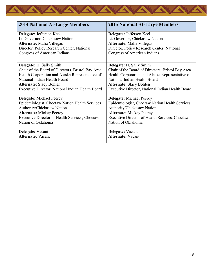

| <b>2014 National At-Large Members</b>             | <b>2015 National At-Large Members</b>             |
|---------------------------------------------------|---------------------------------------------------|
| Delegate: Jefferson Keel                          | Delegate: Jefferson Keel                          |
| Lt. Governor, Chickasaw Nation                    | Lt. Governor, Chickasaw Nation                    |
| <b>Alternate:</b> Malia Villegas                  | <b>Alternate:</b> Malia Villegas                  |
| Director, Policy Research Center, National        | Director, Policy Research Center, National        |
| Congress of American Indians                      | Congress of American Indians                      |
|                                                   |                                                   |
| <b>Delegate:</b> H. Sally Smith                   | <b>Delegate:</b> H. Sally Smith                   |
| Chair of the Board of Directors, Bristol Bay Area | Chair of the Board of Directors, Bristol Bay Area |
| Health Corporation and Alaska Representative of   | Health Corporation and Alaska Representative of   |
| National Indian Health Board                      | National Indian Health Board                      |
| <b>Alternate: Stacy Bohlen</b>                    | <b>Alternate: Stacy Bohlen</b>                    |
| Executive Director, National Indian Health Board  | Executive Director, National Indian Health Board  |
|                                                   |                                                   |
| <b>Delegate:</b> Michael Peercy                   | <b>Delegate:</b> Michael Peercy                   |
| Epidemiologist, Choctaw Nation Health Services    | Epidemiologist, Choctaw Nation Health Services    |
| Authority/Chickasaw Nation                        | Authority/Chickasaw Nation                        |
| <b>Alternate: Mickey Peercy</b>                   | <b>Alternate: Mickey Peercy</b>                   |
| Executive Director of Health Services, Choctaw    | Executive Director of Health Services, Choctaw    |
| Nation of Oklahoma                                | Nation of Oklahoma                                |
|                                                   |                                                   |
| <b>Delegate:</b> Vacant                           | Delegate: Vacant                                  |
| <b>Alternate: Vacant</b>                          | <b>Alternate: Vacant</b>                          |
|                                                   |                                                   |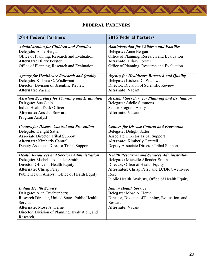# **FEDERAL PARTNERS**

<span id="page-21-0"></span>

| <b>2014 Federal Partners</b>                                                                                                                                                                                        | <b>2015 Federal Partners</b>                                                                                                                                                                                                            |
|---------------------------------------------------------------------------------------------------------------------------------------------------------------------------------------------------------------------|-----------------------------------------------------------------------------------------------------------------------------------------------------------------------------------------------------------------------------------------|
| <b>Administration for Children and Families</b><br>Delegate: Anne Bergan<br>Office of Planning, Research and Evaluation<br><b>Alternate: Hilary Forster</b><br>Office of Planning, Research and Evaluation          | <b>Administration for Children and Families</b><br>Delegate: Anne Bergan<br>Office of Planning, Research and Evaluation<br><b>Alternate: Hilary Forster</b><br>Office of Planning, Research and Evaluation                              |
| <b>Agency for Healthcare Research and Quality</b><br>Delegate: Kishena C. Wadhwani<br>Director, Division of Scientific Review<br><b>Alternate: Vacant</b>                                                           | <b>Agency for Healthcare Research and Quality</b><br>Delegate: Kishena C. Wadhwani<br>Director, Division of Scientific Review<br><b>Alternate: Vacant</b>                                                                               |
| <b>Assistant Secretary for Planning and Evaluation</b><br>Delegate: Sue Clain<br>Indian Health Desk Officer<br><b>Alternate: Ansalan Stewart</b><br>Program Analyst                                                 | <b>Assistant Secretary for Planning and Evaluation</b><br>Delegate: Adelle Simmons<br>Senior Program Analyst<br><b>Alternate: Vacant</b>                                                                                                |
| <b>Centers for Disease Control and Prevention</b><br><b>Delegate: Delight Satter</b><br><b>Associate Director Tribal Support</b><br><b>Alternate:</b> Kimberly Cantrell<br>Deputy Associate Director Tribal Support | <b>Centers for Disease Control and Prevention</b><br><b>Delegate: Delight Satter</b><br><b>Associate Director Tribal Support</b><br><b>Alternate:</b> Kimberly Cantrell<br>Deputy Associate Director Tribal Support                     |
| <b>Health Resources and Services Administration</b><br>Delegate: Michelle Allender-Smith<br>Director, Office of Health Equity<br><b>Alternate: Chrisp Perry</b><br>Public Health Analyst, Office of Health Equity   | <b>Health Resources and Services Administration</b><br>Delegate: Michelle Allender-Smith<br>Director, Office of Health Equity<br>Alternates: Chrisp Perry and LCDR Gwenivere<br>Rose<br>Public Health Analysts, Office of Health Equity |
| <b>Indian Health Service</b><br>Delegate: Alan Trachtenberg<br>Research Director, United States Public Health<br>Service<br>Alternate: Mose A. Herne<br>Director, Division of Planning, Evaluation, and<br>Research | <b>Indian Health Service</b><br>Delegate: Mose A. Herne<br>Director, Division of Planning, Evaluation, and<br>Research<br><b>Alternate: Vacant</b>                                                                                      |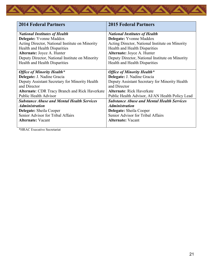| <b>2014 Federal Partners</b>                          | <b>2015 Federal Partners</b>                      |
|-------------------------------------------------------|---------------------------------------------------|
| <b>National Institutes of Health</b>                  | <b>National Institutes of Health</b>              |
| Delegate: Yvonne Maddox                               | Delegate: Yvonne Maddox                           |
| Acting Director, National Institute on Minority       | Acting Director, National Institute on Minority   |
| Health and Health Disparities                         | Health and Health Disparities                     |
| Alternate: Joyce A. Hunter                            | Alternate: Joyce A. Hunter                        |
| Deputy Director, National Institute on Minority       | Deputy Director, National Institute on Minority   |
| Health and Health Disparities                         | Health and Health Disparities                     |
| <b>Office of Minority Health*</b>                     | <b>Office of Minority Health*</b>                 |
| Delegate: J. Nadine Gracia                            | Delegate: J. Nadine Gracia                        |
| Deputy Assistant Secretary for Minority Health        | Deputy Assistant Secretary for Minority Health    |
| and Director                                          | and Director                                      |
| <b>Alternate: CDR Tracy Branch and Rick Haverkate</b> | <b>Alternate: Rick Haverkate</b>                  |
| <b>Public Health Advisor</b>                          | Public Health Advisor, AI/AN Health Policy Lead   |
| <b>Substance Abuse and Mental Health Services</b>     | <b>Substance Abuse and Mental Health Services</b> |
| <b>Administration</b>                                 | <i><b>Administration</b></i>                      |
| <b>Delegate:</b> Sheila Cooper                        | <b>Delegate:</b> Sheila Cooper                    |
| Senior Advisor for Tribal Affairs                     | Senior Advisor for Tribal Affairs                 |
| <b>Alternate: Vacant</b>                              | <b>Alternate: Vacant</b>                          |

\*HRAC Executive Secretariat